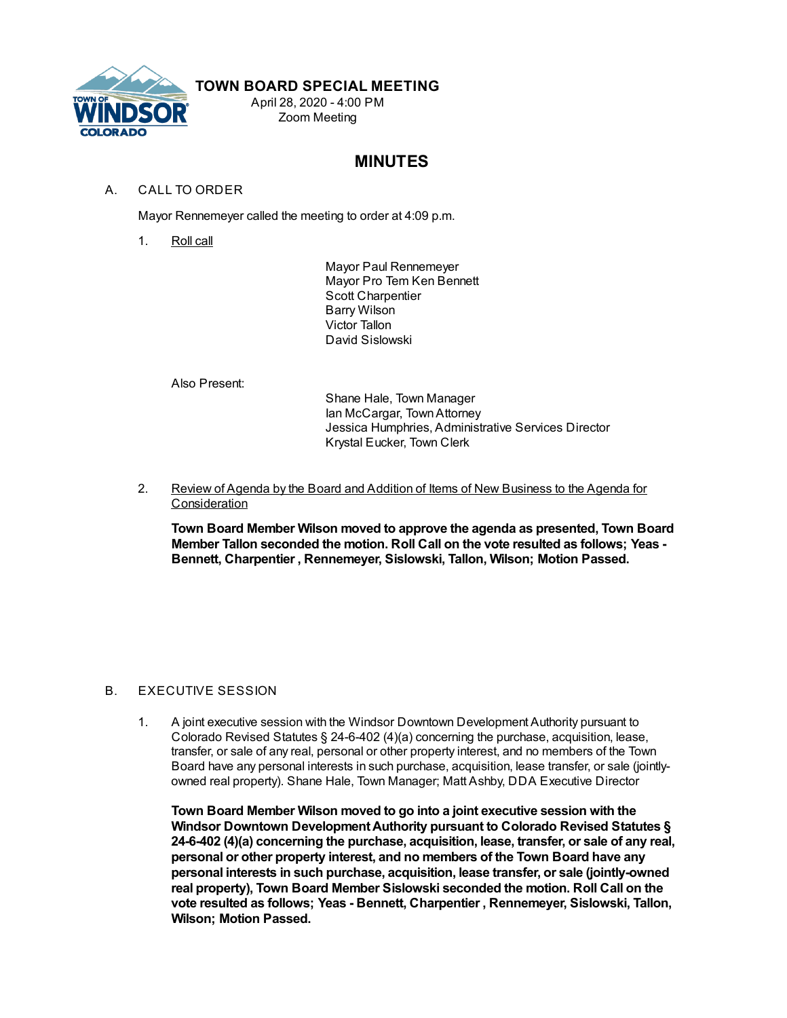

## **TOWN BOARD SPECIAL MEETING**

April 28, 2020 - 4:00 PM Zoom Meeting

# **MINUTES**

### A. CALL TO ORDER

Mayor Rennemeyer called the meeting to order at 4:09 p.m.

1. Roll call

Mayor Paul Rennemeyer Mayor Pro Tem Ken Bennett Scott Charpentier Barry Wilson Victor Tallon David Sislowski

Also Present:

Shane Hale, Town Manager Ian McCargar, TownAttorney Jessica Humphries, Administrative Services Director Krystal Eucker, Town Clerk

2. Review of Agenda by the Board and Addition of Items of New Business to the Agenda for **Consideration** 

**Town Board Member Wilson moved to approve the agenda as presented, Town Board Member Tallon seconded the motion. Roll Call on the vote resulted as follows; Yeas - Bennett, Charpentier , Rennemeyer, Sislowski, Tallon, Wilson; Motion Passed.**

#### B. EXECUTIVE SESSION

1. A joint executive session with the Windsor Downtown Development Authority pursuant to Colorado Revised Statutes § 24-6-402 (4)(a) concerning the purchase, acquisition, lease, transfer, or sale of any real, personal or other property interest, and no members of the Town Board have any personal interests in such purchase, acquisition, lease transfer, or sale (jointlyowned real property). Shane Hale, Town Manager; Matt Ashby, DDA Executive Director

**Town Board Member Wilson moved to go into a joint executive session with the Windsor Downtown DevelopmentAuthority pursuant to Colorado Revised Statutes § 24-6-402 (4)(a) concerning the purchase, acquisition, lease, transfer, or sale of any real, personal or other property interest, and no members of the Town Board have any personal interests in such purchase, acquisition, lease transfer, or sale (jointly-owned real property), Town Board Member Sislowski seconded the motion. Roll Call on the vote resulted as follows; Yeas - Bennett, Charpentier , Rennemeyer, Sislowski, Tallon, Wilson; Motion Passed.**